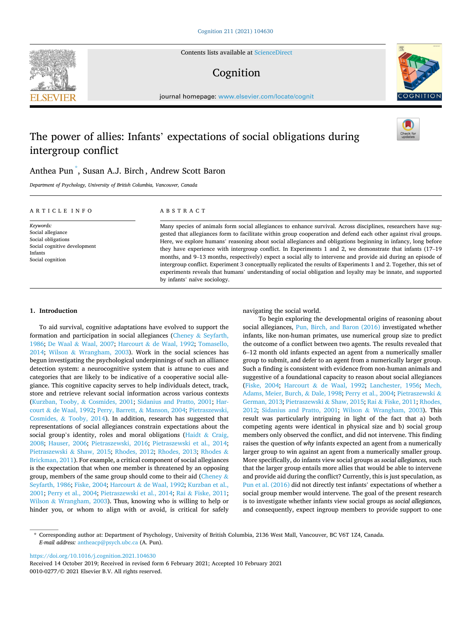Contents lists available at [ScienceDirect](www.sciencedirect.com/science/journal/00100277)

# Cognition

journal homepage: [www.elsevier.com/locate/cognit](https://www.elsevier.com/locate/cognit)

## The power of allies: Infants' expectations of social obligations during intergroup conflict

## Anthea Pun \* , Susan A.J. Birch , Andrew Scott Baron

*Department of Psychology, University of British Columbia, Vancouver, Canada* 

| ARTICLE INFO                                                                                                        | A B S T R A C T                                                                                                                                                                                                                                                                                                                                                                                                                                                                                                                                                                                                                                                                                                                                                                                                                                          |
|---------------------------------------------------------------------------------------------------------------------|----------------------------------------------------------------------------------------------------------------------------------------------------------------------------------------------------------------------------------------------------------------------------------------------------------------------------------------------------------------------------------------------------------------------------------------------------------------------------------------------------------------------------------------------------------------------------------------------------------------------------------------------------------------------------------------------------------------------------------------------------------------------------------------------------------------------------------------------------------|
| Keywords:<br>Social allegiance<br>Social obligations<br>Social cognitive development<br>Infants<br>Social cognition | Many species of animals form social allegiances to enhance survival. Across disciplines, researchers have sug-<br>gested that allegiances form to facilitate within group cooperation and defend each other against rival groups.<br>Here, we explore humans' reasoning about social allegiances and obligations beginning in infancy, long before<br>they have experience with intergroup conflict. In Experiments 1 and 2, we demonstrate that infants (17–19)<br>months, and 9–13 months, respectively) expect a social ally to intervene and provide aid during an episode of<br>intergroup conflict. Experiment 3 conceptually replicated the results of Experiments 1 and 2. Together, this set of<br>experiments reveals that humans' understanding of social obligation and loyalty may be innate, and supported<br>by infants' naïve sociology. |

## **1. Introduction**

To aid survival, cognitive adaptations have evolved to support the formation and participation in social allegiances (Cheney & [Seyfarth,](#page-5-0)  [1986;](#page-5-0) De Waal & [Waal, 2007](#page-5-0); Harcourt & [de Waal, 1992](#page-6-0); [Tomasello,](#page-6-0)  [2014;](#page-6-0) Wilson & [Wrangham, 2003\)](#page-6-0). Work in the social sciences has begun investigating the psychological underpinnings of such an alliance detection system: a neurocognitive system that is attune to cues and categories that are likely to be indicative of a cooperative social allegiance. This cognitive capacity serves to help individuals detect, track, store and retrieve relevant social information across various contexts ([Kurzban, Tooby,](#page-6-0) & Cosmides, 2001; [Sidanius and Pratto, 2001;](#page-6-0) [Har](#page-6-0)court & [de Waal, 1992](#page-6-0); [Perry, Barrett,](#page-6-0) & Manson, 2004; [Pietraszewski,](#page-6-0)  Cosmides, & [Tooby, 2014\)](#page-6-0). In addition, research has suggested that representations of social allegiances constrain expectations about the social group's identity, roles and moral obligations ([Haidt](#page-6-0)  $&$  Craig, [2008;](#page-6-0) [Hauser, 2006;](#page-6-0) [Pietraszewski, 2016;](#page-6-0) [Pietraszewski et al., 2014](#page-6-0); [Pietraszewski](#page-6-0) & Shaw, 2015; [Rhodes, 2012](#page-6-0); [Rhodes, 2013](#page-6-0); [Rhodes](#page-6-0) & [Brickman, 2011](#page-6-0)). For example, a critical component of social allegiances is the expectation that when one member is threatened by an opposing group, members of the same group should come to their aid [\(Cheney](#page-5-0) & [Seyfarth, 1986](#page-5-0); [Fiske, 2004;](#page-5-0) Harcourt & [de Waal, 1992; Kurzban et al.,](#page-6-0)  [2001; Perry et al., 2004](#page-6-0); [Pietraszewski et al., 2014;](#page-6-0) Rai & [Fiske, 2011](#page-6-0); Wilson & [Wrangham, 2003\)](#page-6-0). Thus, knowing who is willing to help or hinder you, or whom to align with or avoid, is critical for safely navigating the social world.

To begin exploring the developmental origins of reasoning about social allegiances, [Pun, Birch, and Baron \(2016\)](#page-6-0) investigated whether infants, like non-human primates, use numerical group size to predict the outcome of a conflict between two agents. The results revealed that 6–12 month old infants expected an agent from a numerically smaller group to submit, and defer to an agent from a numerically larger group. Such a finding is consistent with evidence from non-human animals and suggestive of a foundational capacity to reason about social allegiances ([Fiske, 2004](#page-5-0); Harcourt & [de Waal, 1992;](#page-6-0) [Lanchester, 1956;](#page-6-0) [Mech,](#page-6-0)  [Adams, Meier, Burch,](#page-6-0) & Dale, 1998; [Perry et al., 2004](#page-6-0); [Pietraszewski](#page-6-0) & [German, 2013; Pietraszewski](#page-6-0) & Shaw, 2015; Rai & [Fiske, 2011; Rhodes,](#page-6-0)  [2012;](#page-6-0) [Sidanius and Pratto, 2001;](#page-6-0) Wilson & [Wrangham, 2003\)](#page-6-0). This result was particularly intriguing in light of the fact that a) both competing agents were identical in physical size and b) social group members only observed the conflict, and did not intervene. This finding raises the question of *why* infants expected an agent from a numerically larger group to win against an agent from a numerically smaller group. More specifically, do infants view social groups as *social allegiances,* such that the larger group entails more allies that would be able to intervene and provide aid during the conflict? Currently, this is just speculation, as [Pun et al. \(2016\)](#page-6-0) did not directly test infants' expectations of whether a social group member would intervene. The goal of the present research is to investigate whether infants view social groups as *social allegiances,*  and consequently, expect ingroup members to provide support to one

<https://doi.org/10.1016/j.cognition.2021.104630>

0010-0277/© 2021 Elsevier B.V. All rights reserved. Received 14 October 2019; Received in revised form 6 February 2021; Accepted 10 February 2021







<sup>\*</sup> Corresponding author at: Department of Psychology, University of British Columbia, 2136 West Mall, Vancouver, BC V6T 1Z4, Canada. *E-mail address:* [antheacp@psych.ubc.ca](mailto:antheacp@psych.ubc.ca) (A. Pun).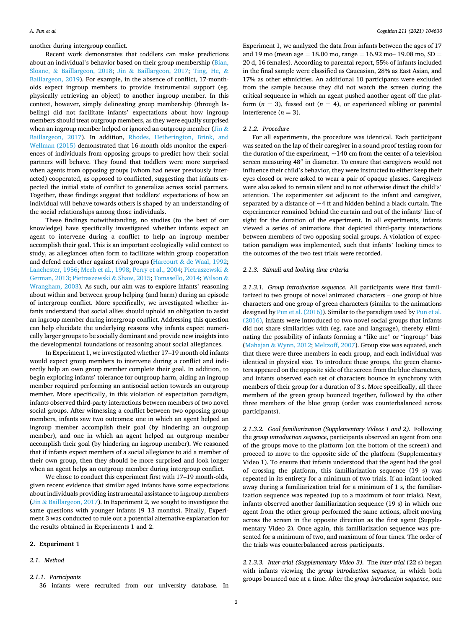<span id="page-1-0"></span>another during intergroup conflict.

Recent work demonstrates that toddlers can make predictions about an individual's behavior based on their group membership ([Bian,](#page-5-0)  Sloane, & [Baillargeon, 2018;](#page-5-0) Jin & [Baillargeon, 2017;](#page-6-0) [Ting, He,](#page-6-0) & [Baillargeon, 2019\)](#page-6-0). For example, in the absence of conflict, 17-montholds expect ingroup members to provide instrumental support (eg. physically retrieving an object) to another ingroup member. In this context, however, simply delineating group membership (through labeling) did not facilitate infants' expectations about how ingroup members should treat outgroup members, as they were equally surprised when an ingroup member helped or ignored an outgroup member ([Jin](#page-6-0)  $\&$ [Baillargeon, 2017\)](#page-6-0). In addition, [Rhodes, Hetherington, Brink, and](#page-6-0)  [Wellman \(2015\)](#page-6-0) demonstrated that 16-month olds monitor the experiences of individuals from opposing groups to predict how their social partners will behave. They found that toddlers were more surprised when agents from opposing groups (whom had never previously interacted) cooperated, as opposed to conflicted, suggesting that infants expected the initial state of conflict to generalize across social partners. Together, these findings suggest that toddlers' expectations of how an individual will behave towards others is shaped by an understanding of the social relationships among those individuals.

These findings notwithstanding, no studies (to the best of our knowledge) have specifically investigated whether infants expect an agent to intervene during a conflict to help an ingroup member accomplish their goal. This is an important ecologically valid context to study, as allegiances often form to facilitate within group cooperation and defend each other against rival groups (Harcourt  $\&$  [de Waal, 1992](#page-6-0); [Lanchester, 1956; Mech et al., 1998](#page-6-0); [Perry et al., 2004](#page-6-0); [Pietraszewski](#page-6-0) & [German, 2013; Pietraszewski](#page-6-0) & Shaw, 2015; [Tomasello, 2014](#page-6-0); [Wilson](#page-6-0) & [Wrangham, 2003](#page-6-0)). As such, our aim was to explore infants' reasoning about within and between group helping (and harm) during an episode of intergroup conflict. More specifically, we investigated whether infants understand that social allies should uphold an obligation to assist an ingroup member during intergroup conflict. Addressing this question can help elucidate the underlying reasons why infants expect numerically larger groups to be socially dominant and provide new insights into the developmental foundations of reasoning about social allegiances.

In Experiment 1, we investigated whether 17–19 month old infants would expect group members to intervene during a conflict and indirectly help an own group member complete their goal. In addition, to begin exploring infants' tolerance for outgroup harm, aiding an ingroup member required performing an antisocial action towards an outgroup member. More specifically, in this violation of expectation paradigm, infants observed third-party interactions between members of two novel social groups. After witnessing a conflict between two opposing group members, infants saw two outcomes: one in which an agent helped an ingroup member accomplish their goal (by hindering an outgroup member), and one in which an agent helped an outgroup member accomplish their goal (by hindering an ingroup member). We reasoned that if infants expect members of a social allegiance to aid a member of their own group, then they should be more surprised and look longer when an agent helps an outgroup member during intergroup conflict.

We chose to conduct this experiment first with 17–19 month-olds, given recent evidence that similar aged infants have some expectations about individuals providing instrumental assistance to ingroup members (Jin & [Baillargeon, 2017\)](#page-6-0). In Experiment 2, we sought to investigate the same questions with younger infants (9–13 months). Finally, Experiment 3 was conducted to rule out a potential alternative explanation for the results obtained in Experiments 1 and 2.

## **2. Experiment 1**

## *2.1. Method*

*2.1.1. Participants* 

Experiment 1, we analyzed the data from infants between the ages of 17 and 19 mo (mean age = 18.00 mo, range = 16.92 mo- 19.08 mo,  $SD =$ 20 d, 16 females). According to parental report, 55% of infants included in the final sample were classified as Caucasian, 28% as East Asian, and 17% as other ethnicities. An additional 10 participants were excluded from the sample because they did not watch the screen during the critical sequence in which an agent pushed another agent off the platform  $(n = 3)$ , fussed out  $(n = 4)$ , or experienced sibling or parental interference  $(n = 3)$ .

## *2.1.2. Procedure*

For all experiments, the procedure was identical. Each participant was seated on the lap of their caregiver in a sound proof testing room for the duration of the experiment,  $\sim$ 140 cm from the center of a television screen measuring 48′′ in diameter. To ensure that caregivers would not influence their child's behavior, they were instructed to either keep their eyes closed or were asked to wear a pair of opaque glasses. Caregivers were also asked to remain silent and to not otherwise direct the child's' attention. The experimenter sat adjacent to the infant and caregiver, separated by a distance of  $\sim$  4 ft and hidden behind a black curtain. The experimenter remained behind the curtain and out of the infants' line of sight for the duration of the experiment. In all experiments, infants viewed a series of animations that depicted third-party interactions between members of two opposing social groups. A violation of expectation paradigm was implemented, such that infants' looking times to the outcomes of the two test trials were recorded.

#### *2.1.3. Stimuli and looking time criteria*

*2.1.3.1. Group introduction sequence.* All participants were first familiarized to two groups of novel animated characters – one group of blue characters and one group of green characters (similar to the animations designed by [Pun et al. \(2016\)](#page-6-0)). Similar to the paradigm used by Pun et al. [\(2016\),](#page-6-0) infants were introduced to two novel social groups that infants did not share similarities with (eg. race and language), thereby eliminating the possibility of infants forming a "like me" or "ingroup" bias (Mahajan & [Wynn, 2012; Meltzoff, 2007](#page-6-0)). Group size was equated, such that there were three members in each group, and each individual was identical in physical size. To introduce these groups, the green characters appeared on the opposite side of the screen from the blue characters, and infants observed each set of characters bounce in synchrony with members of their group for a duration of 3 s. More specifically, all three members of the green group bounced together, followed by the other three members of the blue group (order was counterbalanced across participants).

*2.1.3.2. Goal familiarization (Supplementary Videos 1 and 2).* Following the *group introduction sequence*, participants observed an agent from one of the groups move to the platform (on the bottom of the screen) and proceed to move to the opposite side of the platform (Supplementary Video 1). To ensure that infants understood that the agent had the goal of crossing the platform, this familiarization sequence (19 s) was repeated in its entirety for a minimum of two trials. If an infant looked away during a familiarization trial for a minimum of 1 s, the familiarization sequence was repeated (up to a maximum of four trials). Next, infants observed another familiarization sequence (19 s) in which one agent from the other group performed the same actions, albeit moving across the screen in the opposite direction as the first agent (Supplementary Video 2). Once again, this familiarization sequence was presented for a minimum of two, and maximum of four times. The order of the trials was counterbalanced across participants.

*2.1.3.3. Inter-trial (Supplementary Video 3).* The *inter-trial* (22 s) began with infants viewing the *group introduction sequence*, in which both groups bounced one at a time. After the *group introduction sequence*, one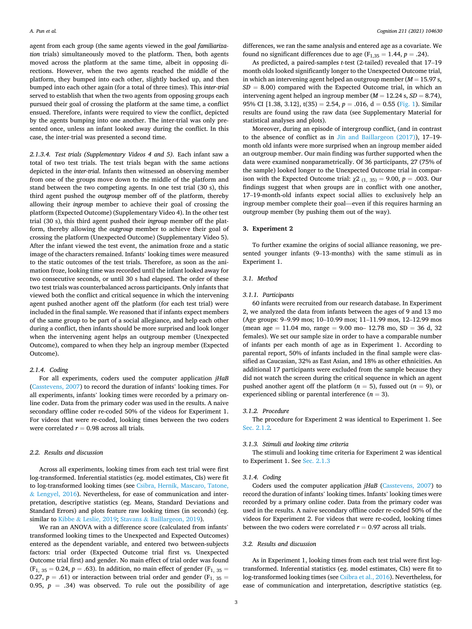agent from each group (the same agents viewed in the *goal familiarization* trials) simultaneously moved to the platform. Then, both agents moved across the platform at the same time, albeit in opposing directions. However, when the two agents reached the middle of the platform, they bumped into each other, slightly backed up, and then bumped into each other again (for a total of three times). This *inter-trial*  served to establish that when the two agents from opposing groups each pursued their goal of crossing the platform at the same time, a conflict ensued. Therefore, infants were required to view the conflict, depicted by the agents bumping into one another. The inter-trial was only presented once, unless an infant looked away during the conflict. In this case, the inter-trial was presented a second time.

*2.1.3.4. Test trials (Supplementary Videos 4 and 5).* Each infant saw a total of two test trials. The test trials began with the same actions depicted in the *inter-trial*. Infants then witnessed an observing member from one of the groups move down to the middle of the platform and stand between the two competing agents. In one test trial (30 s), this third agent pushed the *outgroup* member off of the platform, thereby allowing their *ingroup* member to achieve their goal of crossing the platform (Expected Outcome) (Supplementary Video 4). In the other test trial (30 s), this third agent pushed their *ingroup* member off the platform, thereby allowing the *outgroup* member to achieve their goal of crossing the platform (Unexpected Outcome) (Supplementary Video 5). After the infant viewed the test event, the animation froze and a static image of the characters remained. Infants' looking times were measured to the static outcomes of the test trials. Therefore, as soon as the animation froze, looking time was recorded until the infant looked away for two consecutive seconds, or until 30 s had elapsed. The order of these two test trials was counterbalanced across participants. Only infants that viewed both the conflict and critical sequence in which the intervening agent pushed another agent off the platform (for each test trial) were included in the final sample. We reasoned that if infants expect members of the same group to be part of a social allegiance, and help each other during a conflict, then infants should be more surprised and look longer when the intervening agent helps an outgroup member (Unexpected Outcome), compared to when they help an ingroup member (Expected Outcome).

## *2.1.4. Coding*

For all experiments, coders used the computer application *jHaB*  ([Casstevens, 2007\)](#page-5-0) to record the duration of infants' looking times. For all experiments, infants' looking times were recorded by a primary online coder. Data from the primary coder was used in the results. A naive secondary offline coder re-coded 50% of the videos for Experiment 1. For videos that were re-coded, looking times between the two coders were correlated  $r = 0.98$  across all trials.

### *2.2. Results and discussion*

Across all experiments, looking times from each test trial were first log-transformed. Inferential statistics (eg. model estimates, CIs) were fit to log-transformed looking times (see [Csibra, Hernik, Mascaro, Tatone,](#page-5-0)  & [Lengyel, 2016](#page-5-0)). Nevertheless, for ease of communication and interpretation, descriptive statistics (eg. Means, Standard Deviations and Standard Errors) and plots feature raw looking times (in seconds) (eg. similar to Kibbe & [Leslie, 2019;](#page-6-0) Stavans & [Baillargeon, 2019\)](#page-6-0).

We ran an ANOVA with a difference score (calculated from infants' transformed looking times to the Unexpected and Expected Outcomes) entered as the dependent variable, and entered two between-subjects factors: trial order (Expected Outcome trial first vs. Unexpected Outcome trial first) and gender. No main effect of trial order was found  $(F_1, 35 = 0.24, p = .63)$ . In addition, no main effect of gender  $(F_1, 35 = 0.24, p = .63)$ . 0.27,  $p = .61$ ) or interaction between trial order and gender ( $F<sub>1, 35</sub> =$ 0.95,  $p = .34$ ) was observed. To rule out the possibility of age

differences, we ran the same analysis and entered age as a covariate. We found no significant differences due to age ( $F_{1,35} = 1.44$ ,  $p = .24$ ).

As predicted, a paired-samples *t-*test (2-tailed) revealed that 17–19 month olds looked significantly longer to the Unexpected Outcome trial, in which an intervening agent helped an outgroup member  $(M = 15.97 s,$  $SD = 8.00$ ) compared with the Expected Outcome trial, in which an intervening agent helped an ingroup member  $(M = 12.24 \text{ s}, SD = 8.74)$ , 95% CI [1.38, 3.12],  $t(35) = 2.54$ ,  $p = .016$ ,  $d = 0.55$  [\(Fig. 1\)](#page-3-0). Similar results are found using the raw data (see Supplementary Material for statistical analyses and plots).

Moreover, during an episode of intergroup conflict, (and in contrast to the absence of conflict as in [Jin and Baillargeon \(2017\)](#page-6-0)), 17–19 month old infants were more surprised when an ingroup member aided an outgroup member. Our main finding was further supported when the data were examined nonparametrically. Of 36 participants, 27 (75% of the sample) looked longer to the Unexpected Outcome trial in comparison with the Expected Outcome trial:  $\chi$ 2 (1, 35) = 9.00, *p* = .003. Our findings suggest that when groups are in conflict with one another, 17–19-month-old infants expect social allies to exclusively help an ingroup member complete their goal—even if this requires harming an outgroup member (by pushing them out of the way).

## **3. Experiment 2**

To further examine the origins of social alliance reasoning, we presented younger infants (9–13-months) with the same stimuli as in Experiment 1.

#### *3.1. Method*

#### *3.1.1. Participants*

60 infants were recruited from our research database. In Experiment 2, we analyzed the data from infants between the ages of 9 and 13 mo (Age groups: 9–9.99 mos; 10–10.99 mos; 11–11.99 mos, 12–12.99 mos (mean age = 11.04 mo, range = 9.00 mo– 12.78 mo,  $SD = 36$  d, 32 females). We set our sample size in order to have a comparable number of infants per each month of age as in Experiment 1. According to parental report, 50% of infants included in the final sample were classified as Caucasian, 32% as East Asian, and 18% as other ethnicities. An additional 17 participants were excluded from the sample because they did not watch the screen during the critical sequence in which an agent pushed another agent off the platform  $(n = 5)$ , fussed out  $(n = 9)$ , or experienced sibling or parental interference  $(n = 3)$ .

## *3.1.2. Procedure*

The procedure for Experiment 2 was identical to Experiment 1. See [Sec. 2.1.2](#page-1-0)*.* 

## *3.1.3. Stimuli and looking time criteria*

The stimuli and looking time criteria for Experiment 2 was identical to Experiment 1. See [Sec. 2.1.3](#page-1-0) 

#### *3.1.4. Coding*

Coders used the computer application *jHaB* ([Casstevens, 2007](#page-5-0)) to record the duration of infants' looking times. Infants' looking times were recorded by a primary online coder. Data from the primary coder was used in the results. A naive secondary offline coder re-coded 50% of the videos for Experiment 2. For videos that were re-coded, looking times between the two coders were correlated  $r = 0.97$  across all trials.

## *3.2. Results and discussion*

As in Experiment 1, looking times from each test trial were first logtransformed. Inferential statistics (eg. model estimates, CIs) were fit to log-transformed looking times (see [Csibra et al., 2016\)](#page-5-0). Nevertheless, for ease of communication and interpretation, descriptive statistics (eg.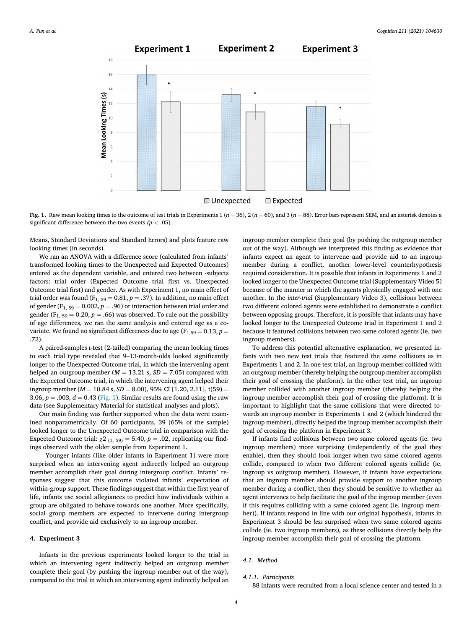<span id="page-3-0"></span>

**Fig. 1.** Raw mean looking times to the outcome of test trials in Experiments 1 ( $n = 36$ ),  $2(n = 60)$ , and 3 ( $n = 88$ ). Error bars represent SEM, and an asterisk denotes a significant difference between the two events  $(p < .05)$ .

Means, Standard Deviations and Standard Errors) and plots feature raw looking times (in seconds).

We ran an ANOVA with a difference score (calculated from infants' transformed looking times to the Unexpected and Expected Outcomes) entered as the dependent variable, and entered two between -subjects factors: trial order (Expected Outcome trial first vs. Unexpected Outcome trial first) and gender. As with Experiment 1, no main effect of trial order was found ( $F_{1, 59} = 0.81, p = .37$ ). In addition, no main effect of gender ( $F_{1, 59} = 0.002$ ,  $p = .96$ ) or interaction between trial order and gender ( $F_{1, 59} = 0.20$ ,  $p = .66$ ) was observed. To rule out the possibility of age differences, we ran the same analysis and entered age as a covariate. We found no significant differences due to age  $(F_{1,59} = 0.13, p =$ .72).

A paired-samples *t-*test (2-tailed) comparing the mean looking times to each trial type revealed that 9–13-month-olds looked significantly longer to the Unexpected Outcome trial, in which the intervening agent helped an outgroup member ( $M = 13.21$  s,  $SD = 7.05$ ) compared with the Expected Outcome trial, in which the intervening agent helped their ingroup member ( $M = 10.84$  s,  $SD = 8.00$ ), 95% CI [1.20, 2.11], t(59) = 3.06,  $p = .003$ ,  $d = 0.43$  (Fig. 1). Similar results are found using the raw data (see Supplementary Material for statistical analyses and plots).

Our main finding was further supported when the data were examined nonparametrically. Of 60 participants, 39 (65% of the sample) looked longer to the Unexpected Outcome trial in comparison with the Expected Outcome trial:  $\chi$ 2 (1, 59) = 5.40, *p* = .02, replicating our findings observed with the older sample from Experiment 1.

Younger infants (like older infants in Experiment 1) were more surprised when an intervening agent indirectly helped an outgroup member accomplish their goal during intergroup conflict. Infants' responses suggest that this outcome violated infants' expectation of within-group support. These findings suggest that within the first year of life, infants use social allegiances to predict how individuals within a group are obligated to behave towards one another. More specifically, social group members are expected to intervene during intergroup conflict, and provide aid exclusively to an ingroup member.

## **4. Experiment 3**

Infants in the previous experiments looked longer to the trial in which an intervening agent indirectly helped an outgroup member complete their goal (by pushing the ingroup member out of the way), compared to the trial in which an intervening agent indirectly helped an ingroup member complete their goal (by pushing the outgroup member out of the way). Although we interpreted this finding as evidence that infants expect an agent to intervene and provide aid to an ingroup member during a conflict, another lower-level counterhypothesis required consideration. It is possible that infants in Experiments 1 and 2 looked longer to the Unexpected Outcome trial (Supplementary Video 5) because of the manner in which the agents physically engaged with one another. In the *inter-trial* (Supplementary Video 3), collisions between two different colored agents were established to demonstrate a conflict between opposing groups. Therefore, it is possible that infants may have looked longer to the Unexpected Outcome trial in Experiment 1 and 2 because it featured collisions between two same colored agents (ie. two ingroup members).

To address this potential alternative explanation, we presented infants with two new test trials that featured the same collisions as in Experiments 1 and 2. In one test trial, an ingroup member collided with an outgroup member (thereby helping the outgroup member accomplish their goal of crossing the platform). In the other test trial, an ingroup member collided with another ingroup member (thereby helping the ingroup member accomplish their goal of crossing the platform). It is important to highlight that the same collisions that were directed towards an ingroup member in Experiments 1 and 2 (which hindered the ingroup member), directly helped the ingroup member accomplish their goal of crossing the platform in Experiment 3.

If infants find collisions between two same colored agents (ie. two ingroup members) more surprising (independently of the goal they enable), then they should look longer when two same colored agents collide, compared to when two different colored agents collide (ie. ingroup vs outgroup member). However, if infants have expectations that an ingroup member should provide support to another ingroup member during a conflict, then they should be sensitive to whether an agent intervenes to help facilitate the goal of the ingroup member (even if this requires colliding with a same colored agent (ie. ingroup member)). If infants respond in line with our original hypothesis, infants in Experiment 3 should be *less* surprised when two same colored agents collide (ie. two ingroup members), as these collisions directly help the ingroup member accomplish their goal of crossing the platform*.* 

## *4.1. Method*

### *4.1.1. Participants*

88 infants were recruited from a local science center and tested in a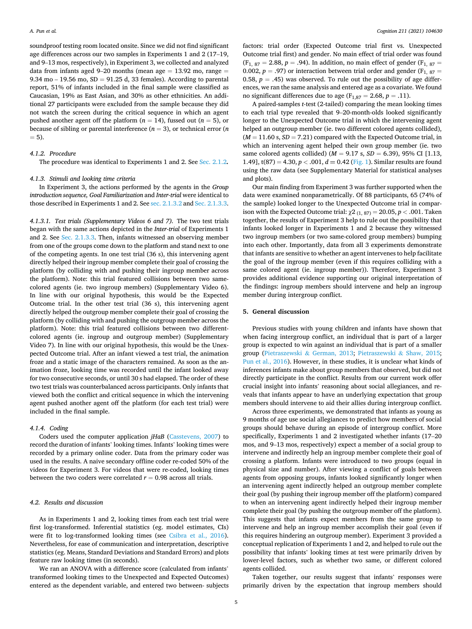soundproof testing room located onsite. Since we did not find significant age differences across our two samples in Experiments 1 and 2 (17–19, and 9–13 mos, respectively), in Experiment 3, we collected and analyzed data from infants aged 9–20 months (mean age  $= 13.92$  mo, range  $=$ 9.34 mo  $-$  19.56 mo, SD  $=$  91.25 d, 33 females). According to parental report, 51% of infants included in the final sample were classified as Caucasian, 19% as East Asian, and 30% as other ethnicities. An additional 27 participants were excluded from the sample because they did not watch the screen during the critical sequence in which an agent pushed another agent off the platform  $(n = 14)$ , fussed out  $(n = 5)$ , or because of sibling or parental interference  $(n = 3)$ , or technical error  $(n \nvert n)$  $= 5$ ).

#### *4.1.2. Procedure*

The procedure was identical to Experiments 1 and 2. See [Sec. 2.1.2](#page-1-0)*.* 

## *4.1.3. Stimuli and looking time criteria*

In Experiment 3, the actions performed by the agents in the *Group introduction sequence, Goal Familiarization* and *Inter-trial* were identical to those described in Experiments 1 and 2. See [sec. 2.1.3.2](#page-1-0) and [Sec. 2.1.3.3](#page-1-0).

*4.1.3.1. Test trials (Supplementary Videos 6 and 7).* The two test trials began with the same actions depicted in the *Inter-trial* of Experiments 1 and 2. See [Sec. 2.1.3.3](#page-1-0). Then, infants witnessed an observing member from one of the groups come down to the platform and stand next to one of the competing agents. In one test trial (36 s), this intervening agent directly helped their ingroup member complete their goal of crossing the platform (by colliding with and pushing their ingroup member across the platform). Note: this trial featured collisions between two samecolored agents (ie. two ingroup members) (Supplementary Video 6). In line with our original hypothesis, this would be the Expected Outcome trial. In the other test trial (36 s), this intervening agent directly helped the outgroup member complete their goal of crossing the platform (by colliding with and pushing the outgroup member across the platform). Note: this trial featured collisions between two differentcolored agents (ie. ingroup and outgroup member) (Supplementary Video 7). In line with our original hypothesis, this would be the Unexpected Outcome trial. After an infant viewed a test trial, the animation froze and a static image of the characters remained. As soon as the animation froze, looking time was recorded until the infant looked away for two consecutive seconds, or until 30 s had elapsed. The order of these two test trials was counterbalanced across participants. Only infants that viewed both the conflict and critical sequence in which the intervening agent pushed another agent off the platform (for each test trial) were included in the final sample.

## *4.1.4. Coding*

Coders used the computer application *jHaB* ([Casstevens, 2007](#page-5-0)) to record the duration of infants' looking times. Infants' looking times were recorded by a primary online coder. Data from the primary coder was used in the results. A naive secondary offline coder re-coded 50% of the videos for Experiment 3. For videos that were re-coded, looking times between the two coders were correlated  $r = 0.98$  across all trials.

## *4.2. Results and discussion*

As in Experiments 1 and 2, looking times from each test trial were first log-transformed. Inferential statistics (eg. model estimates, CIs) were fit to log-transformed looking times (see [Csibra et al., 2016](#page-5-0)). Nevertheless, for ease of communication and interpretation, descriptive statistics (eg. Means, Standard Deviations and Standard Errors) and plots feature raw looking times (in seconds).

We ran an ANOVA with a difference score (calculated from infants' transformed looking times to the Unexpected and Expected Outcomes) entered as the dependent variable, and entered two between- subjects factors: trial order (Expected Outcome trial first vs. Unexpected Outcome trial first) and gender. No main effect of trial order was found  $(F_{1, 87} = 2.88, p = .94)$ . In addition, no main effect of gender  $(F_{1, 87} =$ 0.002,  $p = .97$ ) or interaction between trial order and gender ( $F_{1, 87} =$ 0.58,  $p = .45$ ) was observed. To rule out the possibility of age differences, we ran the same analysis and entered age as a covariate. We found no significant differences due to age ( $F_{1,87} = 2.68$ ,  $p = .11$ ).

A paired-samples *t-*test (2-tailed) comparing the mean looking times to each trial type revealed that 9–20-month-olds looked significantly longer to the Unexpected Outcome trial in which the intervening agent helped an outgroup member (ie. two different colored agents collided),  $(M = 11.60 \text{ s}, SD = 7.21)$  compared with the Expected Outcome trial, in which an intervening agent helped their own group member (ie. two same colored agents collided) (*M* = 9.17 s, *SD* = 6.39), 95% CI [1.13, 1.49],  $t(87) = 4.30, p < .001, d = 0.42$  ([Fig. 1](#page-3-0)). Similar results are found using the raw data (see Supplementary Material for statistical analyses and plots).

Our main finding from Experiment 3 was further supported when the data were examined nonparametrically. Of 88 participants, 65 (74% of the sample) looked longer to the Unexpected Outcome trial in comparison with the Expected Outcome trial:  $χ2_{(1, 87)} = 20.05, p < .001$ . Taken together, the results of Experiment 3 help to rule out the possibility that infants looked longer in Experiments 1 and 2 because they witnessed two ingroup members (or two same-colored group members) bumping into each other. Importantly, data from all 3 experiments demonstrate that infants are sensitive to whether an agent intervenes to help facilitate the goal of the ingroup member (even if this requires colliding with a same colored agent (ie. ingroup member)). Therefore, Experiment 3 provides additional evidence supporting our original interpretation of the findings: ingroup members should intervene and help an ingroup member during intergroup conflict.

## **5. General discussion**

Previous studies with young children and infants have shown that when facing intergroup conflict, an individual that is part of a larger group is expected to win against an individual that is part of a smaller group (Pietraszewski & [German, 2013](#page-6-0); [Pietraszewski](#page-6-0) & Shaw, 2015; [Pun et al., 2016\)](#page-6-0). However, in these studies, it is unclear what kinds of inferences infants make about group members that observed, but did not directly participate in the conflict. Results from our current work offer crucial insight into infants' reasoning about social allegiances, and reveals that infants appear to have an underlying expectation that group members should intervene to aid their allies during intergroup conflict.

Across three experiments, we demonstrated that infants as young as 9 months of age use social allegiances to predict how members of social groups should behave during an episode of intergroup conflict. More specifically, Experiments 1 and 2 investigated whether infants (17–20 mos, and 9–13 mos, respectively) expect a member of a social group to intervene and indirectly help an ingroup member complete their goal of crossing a platform. Infants were introduced to two groups (equal in physical size and number). After viewing a conflict of goals between agents from opposing groups, infants looked significantly longer when an intervening agent indirectly helped an outgroup member complete their goal (by pushing their ingroup member off the platform) compared to when an intervening agent indirectly helped their ingroup member complete their goal (by pushing the outgroup member off the platform). This suggests that infants expect members from the same group to intervene and help an ingroup member accomplish their goal (even if this requires hindering an outgroup member). Experiment 3 provided a conceptual replication of Experiments 1 and 2, and helped to rule out the possibility that infants' looking times at test were primarily driven by lower-level factors, such as whether two same, or different colored agents collided.

Taken together, our results suggest that infants' responses were primarily driven by the expectation that ingroup members should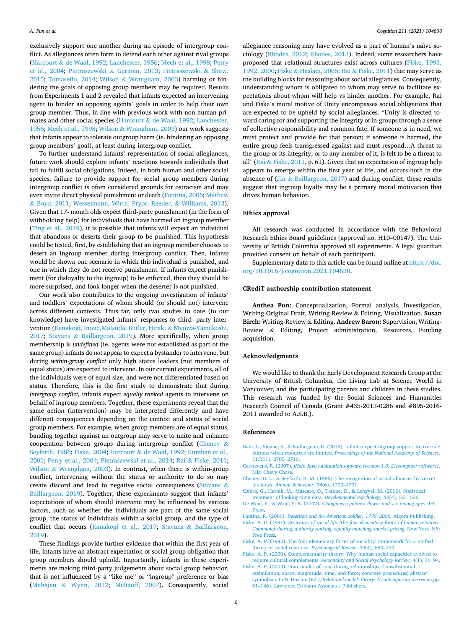<span id="page-5-0"></span>exclusively support one another during an episode of intergroup conflict. As allegiances often form to defend each other against rival groups (Harcourt & [de Waal, 1992](#page-6-0); [Lanchester, 1956](#page-6-0); [Mech et al., 1998](#page-6-0); [Perry](#page-6-0)  [et al., 2004;](#page-6-0) Pietraszewski & [German, 2013;](#page-6-0) [Pietraszewski](#page-6-0) & Shaw, [2015;](#page-6-0) [Tomasello, 2014](#page-6-0); Wilson & [Wrangham, 2003\)](#page-6-0) harming or hindering the goals of opposing group members may be required. Results from Experiments 1 and 2 revealed that infants expected an intervening agent to hinder an opposing agents' goals in order to help their own group member. Thus, in line with previous work with non-human primates and other social species (Harcourt & [de Waal, 1992;](#page-6-0) [Lanchester,](#page-6-0)  [1956; Mech et al., 1998;](#page-6-0) Wilson & [Wrangham, 2003](#page-6-0)) our work suggests that infants appear to tolerate outgroup harm (ie. hindering an opposing group members' goal), at least during intergroup conflict.

To further understand infants' representation of social allegiances, future work should explore infants' reactions towards individuals that fail to fulfill social obligations. Indeed, in both human and other social species, failure to provide support for social group members during intergroup conflict is often considered grounds for ostracism and may even invite direct physical punishment or death (Fantina, 2006; [Mathew](#page-6-0)  & [Boyd, 2011](#page-6-0); [Wesselmann, Wirth, Pryor, Reeder,](#page-6-0) & Williams, 2013). Given that 17- month olds expect third-party punishment (in the form of withholding help) for individuals that have harmed an ingroup member ([Ting et al., 2019](#page-6-0)), it is possible that infants will expect an individual that abandons or deserts their group to be punished. This hypothesis could be tested, first, by establishing that an ingroup member chooses to desert an ingroup member during intergroup conflict. Then, infants would be shown one scenario in which this individual is punished, and one in which they do not receive punishment. If infants expect punishment (for disloyalty to the ingroup) to be enforced, then they should be more surprised, and look longer when the deserter is not punished.

Our work also contributes to the ongoing investigation of infants' and toddlers' expectations of whom should (or should not) intervene across different contexts. Thus far, only two studies to date (to our knowledge) have investigated infants' responses to third- party intervention ([Kanakogi, Inoue,Matsuda, Butler, Hiraki](#page-6-0) & Myowa-Yamakoshi, [2017;](#page-6-0) Stavans & [Baillargeon, 2019](#page-6-0)). More specifically, when group membership is *undefined* (ie. agents were not established as part of the same group) infants do *not* appear to expect a bystander to intervene, but during *within-group conflict* only high status leaders (not members of equal status) are expected to intervene. In our current experiments, all of the individuals were of equal size, and were not differentiated based on status. Therefore, this is the first study to demonstrate that during *intergroup conflict,* infants expect *equally ranked* agents to intervene on behalf of ingroup members. Together, these experiments reveal that the same action (intervention) may be interpreted differently and have different consequences depending on the context and status of social group members. For example, when group members are of equal status, banding together against an outgroup may serve to unite and enhance cooperation between groups during intergroup conflict (Cheney & Seyfarth, 1986; Fiske, 2004; Harcourt & [de Waal, 1992; Kurzban et al.,](#page-6-0)  [2001; Perry et al., 2004](#page-6-0); [Pietraszewski et al., 2014;](#page-6-0) Rai & [Fiske, 2011](#page-6-0); Wilson & [Wrangham, 2003\)](#page-6-0). In contrast, when there is within-group conflict, intervening without the status or authority to do so may create discord and lead to negative social consequences ([Stavans](#page-6-0) & [Baillargeon, 2019](#page-6-0)). Together, these experiments suggest that infants' expectations of whom should intervene may be influenced by various factors, such as whether the individuals are part of the same social group, the status of individuals within a social group, and the type of conflict that occurs ([Kanakogi et al., 2017](#page-6-0); Stavans & [Baillargeon,](#page-6-0)  [2019\)](#page-6-0).

These findings provide further evidence that within the first year of life, infants have an abstract expectation of social group obligation that group members should uphold. Importantly, infants in these experiments are making third-party judgements about social group behavior, that is not influenced by a "like me" or "ingroup" preference or bias (Mahajan & [Wynn, 2012](#page-6-0); [Meltzoff, 2007](#page-6-0)). Consequently, social allegiance reasoning may have evolved as a part of human's naïve sociology ([Rhodes, 2012;](#page-6-0) [Rhodes, 2013](#page-6-0)). Indeed, some researchers have proposed that relational structures exist across cultures (Fiske, 1991, 1992, 2000; Fiske & [Haslam, 2005;](#page-6-0) Rai & [Fiske, 2011\)](#page-6-0) that may serve as the building blocks for reasoning about social allegiances. Consequently, understanding whom is obligated to whom may serve to facilitate expectations about whom will help vs hinder another. For example, Rai and Fiske's moral motive of Unity encompasses social obligations that are expected to be upheld by social allegiances. "Unity is directed toward caring for and supporting the integrity of in-groups through a sense of collective responsibility and common fate. If someone is in need, we must protect and provide for that person; if someone is harmed, the entire group feels transgressed against and must respond…A threat to the group or its integrity, or to any member of it, is felt to be a threat to all" (Rai & [Fiske, 2011](#page-6-0), p. 61). Given that an expectation of ingroup help appears to emerge within the first year of life, and occurs both in the absence of (Jin  $\&$  [Baillargeon, 2017](#page-6-0)) and during conflict, these results suggest that ingroup loyalty may be a primary moral motivation that drives human behavior.

## **Ethics approval**

All research was conducted in accordance with the Behavioral Research Ethics Board guidelines (approval no. H10–00147). The University of British Columbia approved all experiments. A legal guardian provided consent on behalf of each participant.

Supplementary data to this article can be found online at [https://doi.](https://doi.org/10.1016/j.cognition.2021.104630)  [org/10.1016/j.cognition.2021.104630](https://doi.org/10.1016/j.cognition.2021.104630).

## **CRediT authorship contribution statement**

**Anthea Pun:** Conceptualization, Formal analysis, Investigation, Writing-Original Draft, Writing-Review & Editing, Visualization. **Susan Birch:** Writing-Review & Editing. **Andrew Baron:** Supervision, Writing-Review & Editing, Project administration, Resources, Funding acquisition.

## **Acknowledgments**

We would like to thank the Early Development Research Group at the University of British Columbia, the Living Lab at Science World in Vancouver, and the participating parents and children in these studies. This research was funded by the Social Sciences and Humanities Research Council of Canada (Grant #435-2013-0286 and #895-2016- 2011 awarded to A.S.B.).

## **References**

- [Bian, L., Sloane, S., & Baillargeon, R. \(2018\). Infants expect ingroup support to override](http://refhub.elsevier.com/S0010-0277(21)00049-4/rf0005)  fairness when resources are limited. *[Proceedings of the National Academy of Sciences,](http://refhub.elsevier.com/S0010-0277(21)00049-4/rf0005)  115*[\(11\), 2705](http://refhub.elsevier.com/S0010-0277(21)00049-4/rf0005)–2710.
- Casstevens, R. (2007). *[jHab: Java habituation software \(version 1.0. 2\)\[computer software\]](http://refhub.elsevier.com/S0010-0277(21)00049-4/rf0010)*. [MD: Chevy Chase.](http://refhub.elsevier.com/S0010-0277(21)00049-4/rf0010)
- [Cheney, D. L., & Seyfarth, R. M. \(1986\). The recognition of social alliances by vervet](http://refhub.elsevier.com/S0010-0277(21)00049-4/rf0015)  monkeys. *[Animal Behaviour, 34](http://refhub.elsevier.com/S0010-0277(21)00049-4/rf0015)*(6), 1722–1731.
- [Csibra, G., Hernik, M., Mascaro, O., Tatone, D., & Lengyel, M. \(2016\). Statistical](http://refhub.elsevier.com/S0010-0277(21)00049-4/rf0025)  [treatment of looking-time data.](http://refhub.elsevier.com/S0010-0277(21)00049-4/rf0025) *Developmental Psychology, 52*(4), 521–536.
- De Waal, F., & Waal, F. B. (2007). *[Chimpanzee politics: Power and sex among apes](http://refhub.elsevier.com/S0010-0277(21)00049-4/rf0030)*. JHU [Press.](http://refhub.elsevier.com/S0010-0277(21)00049-4/rf0030)
- Fantina, R. (2006). *[Desertion and the American soldier, 1776](http://refhub.elsevier.com/S0010-0277(21)00049-4/rf0035)*–*2006*. Algora Publishing. Fiske, A. P. (1991). *[Structures of social life: The four elementary forms of human relations:](http://refhub.elsevier.com/S0010-0277(21)00049-4/rf0040) [Communal sharing, authority ranking, equality matching, market pricing](http://refhub.elsevier.com/S0010-0277(21)00049-4/rf0040)*. New York, NY:
- [Free Press](http://refhub.elsevier.com/S0010-0277(21)00049-4/rf0040). [Fiske, A. P. \(1992\). The four elementary forms of sociality: Framework for a unified](http://refhub.elsevier.com/S0010-0277(21)00049-4/rf0045)
- [theory of social relations.](http://refhub.elsevier.com/S0010-0277(21)00049-4/rf0045) *Psychological Review, 99*(4), 689–723. [Fiske, A. P. \(2000\). Complementarity theory: Why human social capacities evolved to](http://refhub.elsevier.com/S0010-0277(21)00049-4/rf0050)
- require cultural complements. *[Personality and Social Psychology Review, 4](http://refhub.elsevier.com/S0010-0277(21)00049-4/rf0050)*(1), 76–94. [Fiske, A. P. \(2004\). Four modes of constituting relationships: Consubstantial](http://refhub.elsevier.com/S0010-0277(21)00049-4/rf0055)
- [assimilation; space, magnitude, time, and force; concrete procedures; abstract](http://refhub.elsevier.com/S0010-0277(21)00049-4/rf0055) symbolism. In N. Haslam (Ed.), *[Relational models theory: A contemporary overview](http://refhub.elsevier.com/S0010-0277(21)00049-4/rf0055)* (pp. 61–[146\). Lawrence Erlbaum Associates Publishers](http://refhub.elsevier.com/S0010-0277(21)00049-4/rf0055).